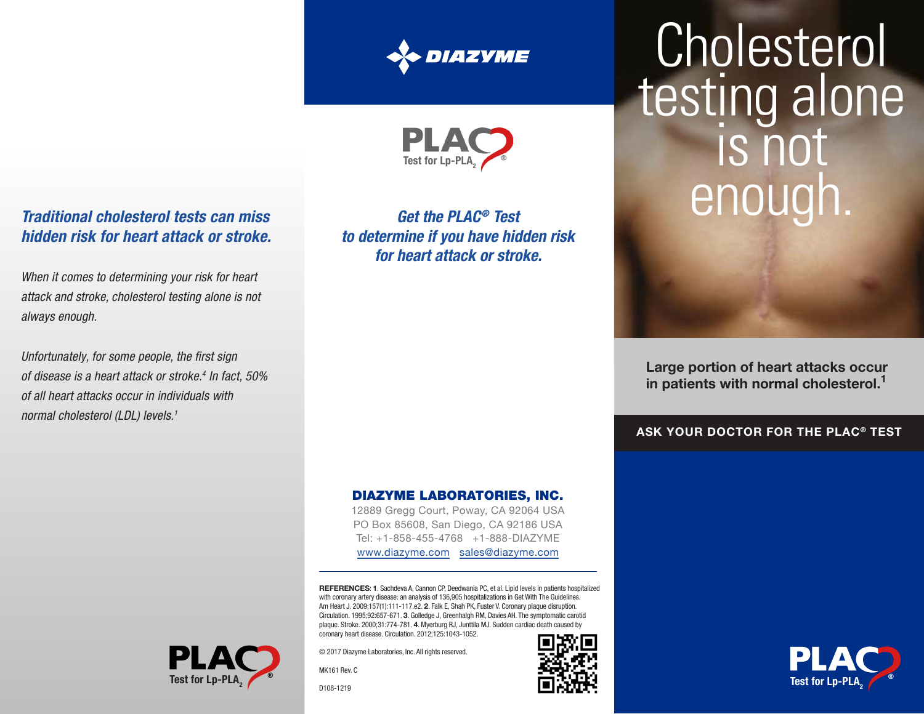



# *Traditional cholesterol tests can miss hidden risk for heart attack or stroke.*

*When it comes to determining your risk for heart attack and stroke, cholesterol testing alone is not always enough.*

Unfortunately, for some people, the first sign *of disease is a heart attack or stroke.4 In fact, 50% of all heart attacks occur in individuals with normal cholesterol (LDL) levels.1*

**Test for Lp-PL** 

*Get the PLAC® Test to determine if you have hidden risk for heart attack or stroke.*

#### DIAZYME LABORATORIES, INC.

12889 Gregg Court, Poway, CA 92064 USA PO Box 85608, San Diego, CA 92186 USA Tel: +1-858-455-4768 +1-888-DIAZYME www.diazyme.com sales@diazyme.com

REFERENCES: 1. Sachdeva A, Cannon CP, Deedwania PC, et al. Lipid levels in patients hospitalized with coronary artery disease: an analysis of 136,905 hospitalizations in Get With The Guidelines. Am Heart J. 2009;157(1):111-117.e2. 2. Falk E, Shah PK, Fuster V. Coronary plaque disruption. Circulation. 1995;92:657-671. 3. Golledge J, Greenhalgh RM, Davies AH. The symptomatic carotid plaque. Stroke. 2000;31:774-781. 4. Myerburg RJ, Junttila MJ. Sudden cardiac death caused b coronary heart disease. Circulation. 2012;125:1043-1052.

© 2017 Diazyme Laboratories, Inc. All rights reserved.

MK161 Rev. C

D108-1219

# Cholesterol testing alone IS not enoug

Large portion of heart attacks occur in patients with normal cholesterol.<sup>1</sup>

ASK YOUR DOCTOR FOR THE PLAC® TEST